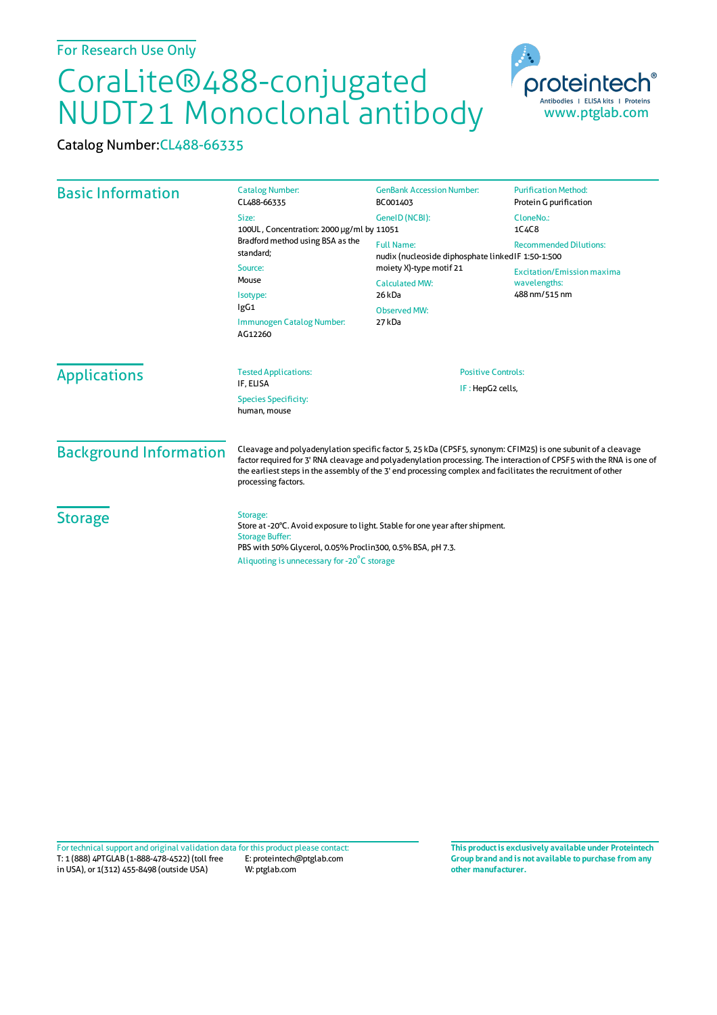## CoraLite®488-conjugated NUDT21 Monoclonal antibody

Catalog Number:CL488-66335

| <b>Basic Information</b>      | <b>Catalog Number:</b><br>CL488-66335                                                                                                                                                                                                                                                                                                                                      | <b>GenBank Accession Number:</b><br>BC001403                           | <b>Purification Method:</b><br>Protein G purification |
|-------------------------------|----------------------------------------------------------------------------------------------------------------------------------------------------------------------------------------------------------------------------------------------------------------------------------------------------------------------------------------------------------------------------|------------------------------------------------------------------------|-------------------------------------------------------|
|                               | Size:<br>100UL, Concentration: 2000 µg/ml by 11051                                                                                                                                                                                                                                                                                                                         | GeneID (NCBI):                                                         | CloneNo.:<br>1C4C8                                    |
|                               | Bradford method using BSA as the<br>standard:                                                                                                                                                                                                                                                                                                                              | <b>Full Name:</b><br>nudix (nucleoside diphosphate linkedIF 1:50-1:500 | <b>Recommended Dilutions:</b>                         |
|                               | Source:                                                                                                                                                                                                                                                                                                                                                                    | moiety X)-type motif 21                                                | <b>Excitation/Emission maxima</b>                     |
|                               | Mouse<br>Isotype:                                                                                                                                                                                                                                                                                                                                                          | <b>Calculated MW:</b><br>26 kDa                                        | wavelengths:<br>488 nm/515 nm                         |
|                               | lgG1                                                                                                                                                                                                                                                                                                                                                                       | <b>Observed MW:</b>                                                    |                                                       |
|                               | Immunogen Catalog Number:<br>AG12260                                                                                                                                                                                                                                                                                                                                       | 27 kDa                                                                 |                                                       |
| <b>Applications</b>           | <b>Tested Applications:</b><br>IF. ELISA                                                                                                                                                                                                                                                                                                                                   | <b>Positive Controls:</b>                                              |                                                       |
|                               | IF: HepG2 cells,<br><b>Species Specificity:</b><br>human, mouse                                                                                                                                                                                                                                                                                                            |                                                                        |                                                       |
| <b>Background Information</b> | Cleavage and polyadenylation specific factor 5, 25 kDa (CPSF5, synonym: CFIM25) is one subunit of a cleavage<br>factor required for 3' RNA cleavage and polyadenylation processing. The interaction of CPSF5 with the RNA is one of<br>the earliest steps in the assembly of the 3' end processing complex and facilitates the recruitment of other<br>processing factors. |                                                                        |                                                       |
| <b>Storage</b>                | Storage:<br>Store at -20°C. Avoid exposure to light. Stable for one year after shipment.<br><b>Storage Buffer:</b><br>PBS with 50% Glycerol, 0.05% Proclin300, 0.5% BSA, pH 7.3.<br>Aliquoting is unnecessary for -20°C storage                                                                                                                                            |                                                                        |                                                       |

T: 1 (888) 4PTGLAB (1-888-478-4522) (toll free in USA), or 1(312) 455-8498 (outside USA) E: proteintech@ptglab.com W: ptglab.com Fortechnical support and original validation data forthis product please contact: **This productis exclusively available under Proteintech**

**Group brand and is not available to purchase from any other manufacturer.**

www.ptglab.com

Antibodies | ELISA kits | Proteins

proteinter